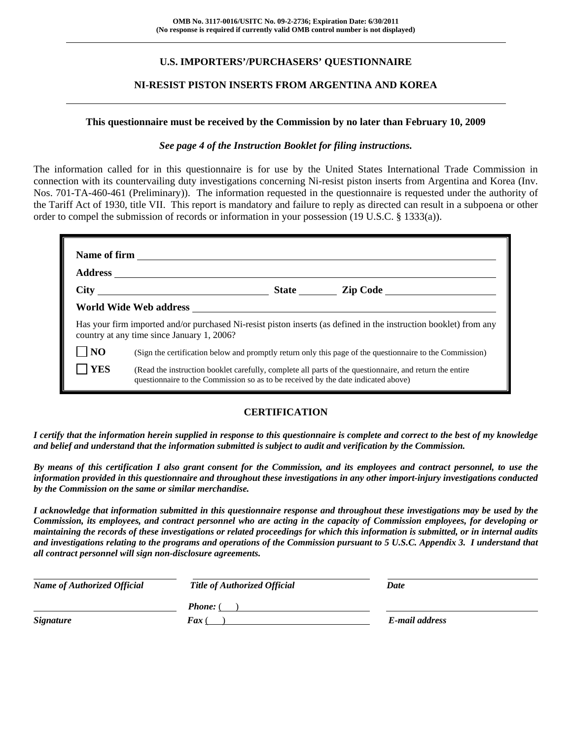# **U.S. IMPORTERS'/PURCHASERS' QUESTIONNAIRE**

# **NI-RESIST PISTON INSERTS FROM ARGENTINA AND KOREA**

#### **This questionnaire must be received by the Commission by no later than February 10, 2009**

#### *See page 4 of the Instruction Booklet for filing instructions.*

The information called for in this questionnaire is for use by the United States International Trade Commission in connection with its countervailing duty investigations concerning Ni-resist piston inserts from Argentina and Korea (Inv. Nos. 701-TA-460-461 (Preliminary)). The information requested in the questionnaire is requested under the authority of the Tariff Act of 1930, title VII. This report is mandatory and failure to reply as directed can result in a subpoena or other order to compel the submission of records or information in your possession (19 U.S.C. § 1333(a)).

|                | country at any time since January 1, 2006?                                        | Has your firm imported and/or purchased Ni-resist piston inserts (as defined in the instruction booklet) from any |
|----------------|-----------------------------------------------------------------------------------|-------------------------------------------------------------------------------------------------------------------|
| N <sub>O</sub> |                                                                                   | (Sign the certification below and promptly return only this page of the questionnaire to the Commission)          |
| <b>YES</b>     | questionnaire to the Commission so as to be received by the date indicated above) | (Read the instruction booklet carefully, complete all parts of the questionnaire, and return the entire           |

#### **CERTIFICATION**

*I certify that the information herein supplied in response to this questionnaire is complete and correct to the best of my knowledge and belief and understand that the information submitted is subject to audit and verification by the Commission.* 

*By means of this certification I also grant consent for the Commission, and its employees and contract personnel, to use the information provided in this questionnaire and throughout these investigations in any other import-injury investigations conducted by the Commission on the same or similar merchandise.* 

*I acknowledge that information submitted in this questionnaire response and throughout these investigations may be used by the Commission, its employees, and contract personnel who are acting in the capacity of Commission employees, for developing or maintaining the records of these investigations or related proceedings for which this information is submitted, or in internal audits and investigations relating to the programs and operations of the Commission pursuant to 5 U.S.C. Appendix 3. I understand that all contract personnel will sign non-disclosure agreements.* 

| <b>Name of Authorized Official</b> | <b>Title of Authorized Official</b> | Date           |
|------------------------------------|-------------------------------------|----------------|
|                                    | <b>Phone:</b> (                     |                |
| <b>Signature</b>                   | <b>Fax</b> (                        | E-mail address |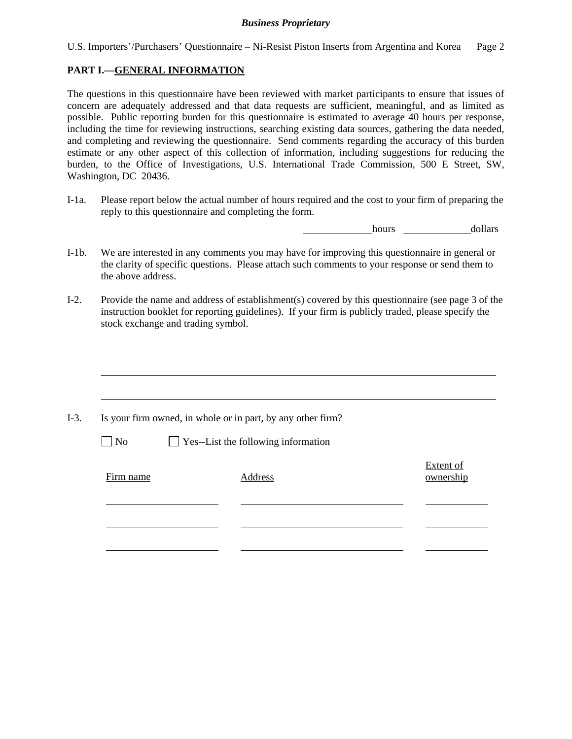U.S. Importers'/Purchasers' Questionnaire – Ni-Resist Piston Inserts from Argentina and Korea Page 2

# **PART I.—GENERAL INFORMATION**

The questions in this questionnaire have been reviewed with market participants to ensure that issues of concern are adequately addressed and that data requests are sufficient, meaningful, and as limited as possible. Public reporting burden for this questionnaire is estimated to average 40 hours per response, including the time for reviewing instructions, searching existing data sources, gathering the data needed, and completing and reviewing the questionnaire. Send comments regarding the accuracy of this burden estimate or any other aspect of this collection of information, including suggestions for reducing the burden, to the Office of Investigations, U.S. International Trade Commission, 500 E Street, SW, Washington, DC 20436.

I-1a. Please report below the actual number of hours required and the cost to your firm of preparing the reply to this questionnaire and completing the form.

hours dollars

- I-1b. We are interested in any comments you may have for improving this questionnaire in general or the clarity of specific questions. Please attach such comments to your response or send them to the above address.
- I-2. Provide the name and address of establishment(s) covered by this questionnaire (see page 3 of the instruction booklet for reporting guidelines). If your firm is publicly traded, please specify the stock exchange and trading symbol.

|           | Is your firm owned, in whole or in part, by any other firm? |                        |
|-----------|-------------------------------------------------------------|------------------------|
| $\Box$ No | $\Box$ Yes--List the following information                  |                        |
| Firm name | Address                                                     | Extent of<br>ownership |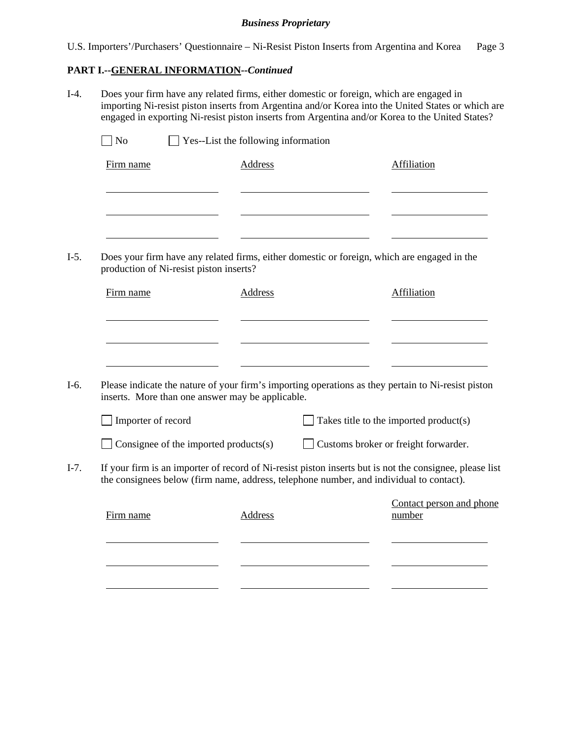U.S. Importers'/Purchasers' Questionnaire – Ni-Resist Piston Inserts from Argentina and Korea Page 3

# **PART I.--GENERAL INFORMATION***--Continued*

I-4. Does your firm have any related firms, either domestic or foreign, which are engaged in importing Ni-resist piston inserts from Argentina and/or Korea into the United States or which are engaged in exporting Ni-resist piston inserts from Argentina and/or Korea to the United States?

| Firm name                                                                                                                           | <b>Address</b> | <b>Affiliation</b>                                                                                                                              |
|-------------------------------------------------------------------------------------------------------------------------------------|----------------|-------------------------------------------------------------------------------------------------------------------------------------------------|
|                                                                                                                                     |                |                                                                                                                                                 |
|                                                                                                                                     |                | Does your firm have any related firms, either domestic or foreign, which are engaged in the                                                     |
| production of Ni-resist piston inserts?                                                                                             |                |                                                                                                                                                 |
| Firm name                                                                                                                           | Address        | Affiliation                                                                                                                                     |
|                                                                                                                                     |                |                                                                                                                                                 |
| inserts. More than one answer may be applicable.                                                                                    |                | Please indicate the nature of your firm's importing operations as they pertain to Ni-resist piston                                              |
| Importer of record                                                                                                                  |                | Takes title to the imported product(s)                                                                                                          |
| Consignee of the imported products $(s)$<br>the consignees below (firm name, address, telephone number, and individual to contact). |                | Customs broker or freight forwarder.<br>If your firm is an importer of record of Ni-resist piston inserts but is not the consignee, please list |
| Firm name                                                                                                                           | <b>Address</b> | Contact person and phone<br>number                                                                                                              |
|                                                                                                                                     |                |                                                                                                                                                 |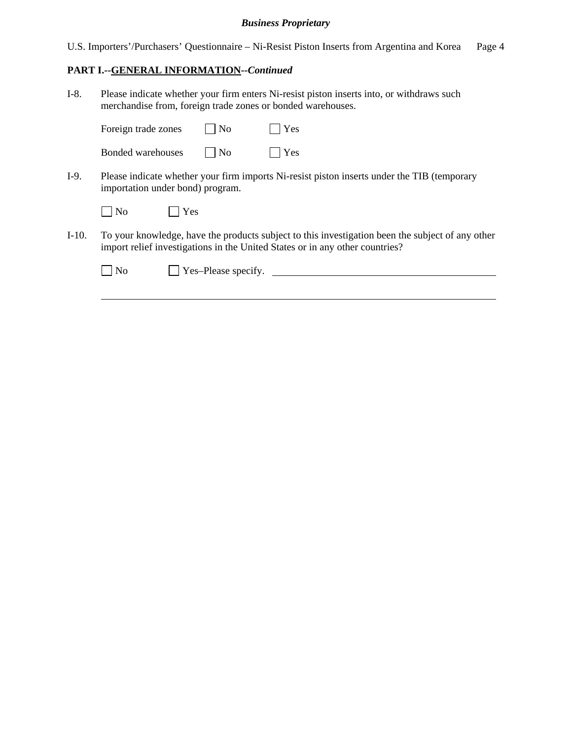U.S. Importers'/Purchasers' Questionnaire – Ni-Resist Piston Inserts from Argentina and Korea Page 4

# **PART I.--GENERAL INFORMATION***--Continued*

I-8. Please indicate whether your firm enters Ni-resist piston inserts into, or withdraws such merchandise from, foreign trade zones or bonded warehouses.

|         | Foreign trade zones              |     | $\overline{\rm No}$ | Yes                                                                                                                                                                              |
|---------|----------------------------------|-----|---------------------|----------------------------------------------------------------------------------------------------------------------------------------------------------------------------------|
|         | Bonded warehouses                |     | $\overline{N}$      | Yes                                                                                                                                                                              |
| I-9.    | importation under bond) program. |     |                     | Please indicate whether your firm imports Ni-resist piston inserts under the TIB (temporary                                                                                      |
|         | N <sub>0</sub>                   | Yes |                     |                                                                                                                                                                                  |
| $I-10.$ |                                  |     |                     | To your knowledge, have the products subject to this investigation been the subject of any other<br>import relief investigations in the United States or in any other countries? |
|         | No                               |     | Yes-Please specify. |                                                                                                                                                                                  |
|         |                                  |     |                     |                                                                                                                                                                                  |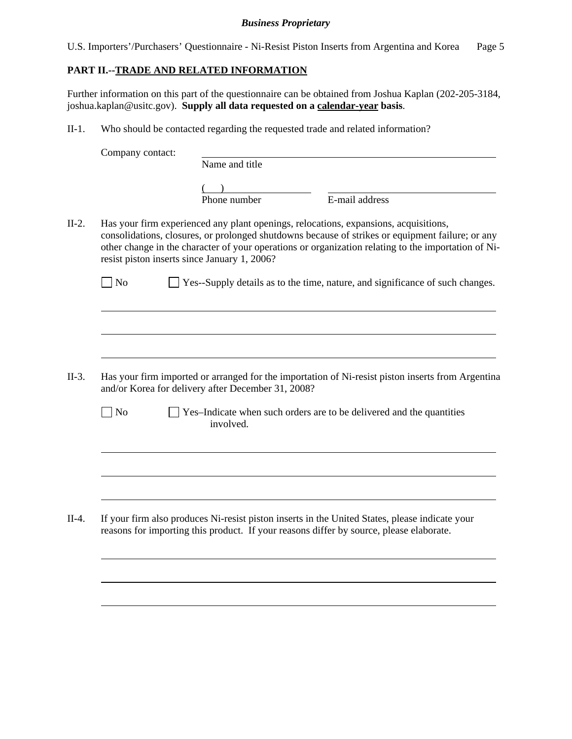U.S. Importers'/Purchasers' Questionnaire - Ni-Resist Piston Inserts from Argentina and Korea Page 5

# **PART II.--TRADE AND RELATED INFORMATION**

 $\overline{a}$ 

 $\overline{a}$ 

Further information on this part of the questionnaire can be obtained from Joshua Kaplan (202-205-3184, joshua.kaplan@usitc.gov). **Supply all data requested on a calendar-year basis**.

II-1. Who should be contacted regarding the requested trade and related information?

| Company contact:            |                                                                                                                                                                                                                                                                                                                                                 |                |  |
|-----------------------------|-------------------------------------------------------------------------------------------------------------------------------------------------------------------------------------------------------------------------------------------------------------------------------------------------------------------------------------------------|----------------|--|
|                             | Name and title                                                                                                                                                                                                                                                                                                                                  |                |  |
|                             | Phone number                                                                                                                                                                                                                                                                                                                                    | E-mail address |  |
|                             | Has your firm experienced any plant openings, relocations, expansions, acquisitions,<br>consolidations, closures, or prolonged shutdowns because of strikes or equipment failure; or any<br>other change in the character of your operations or organization relating to the importation of Ni-<br>resist piston inserts since January 1, 2006? |                |  |
| $\overline{\phantom{a}}$ No | Yes--Supply details as to the time, nature, and significance of such changes.                                                                                                                                                                                                                                                                   |                |  |
|                             |                                                                                                                                                                                                                                                                                                                                                 |                |  |
|                             |                                                                                                                                                                                                                                                                                                                                                 |                |  |
|                             |                                                                                                                                                                                                                                                                                                                                                 |                |  |
|                             | Has your firm imported or arranged for the importation of Ni-resist piston inserts from Argentina<br>and/or Korea for delivery after December 31, 2008?                                                                                                                                                                                         |                |  |
| N <sub>o</sub>              | Yes-Indicate when such orders are to be delivered and the quantities<br>involved.                                                                                                                                                                                                                                                               |                |  |
|                             |                                                                                                                                                                                                                                                                                                                                                 |                |  |
|                             |                                                                                                                                                                                                                                                                                                                                                 |                |  |
|                             |                                                                                                                                                                                                                                                                                                                                                 |                |  |
|                             | If your firm also produces Ni-resist piston inserts in the United States, please indicate your<br>reasons for importing this product. If your reasons differ by source, please elaborate.                                                                                                                                                       |                |  |
|                             |                                                                                                                                                                                                                                                                                                                                                 |                |  |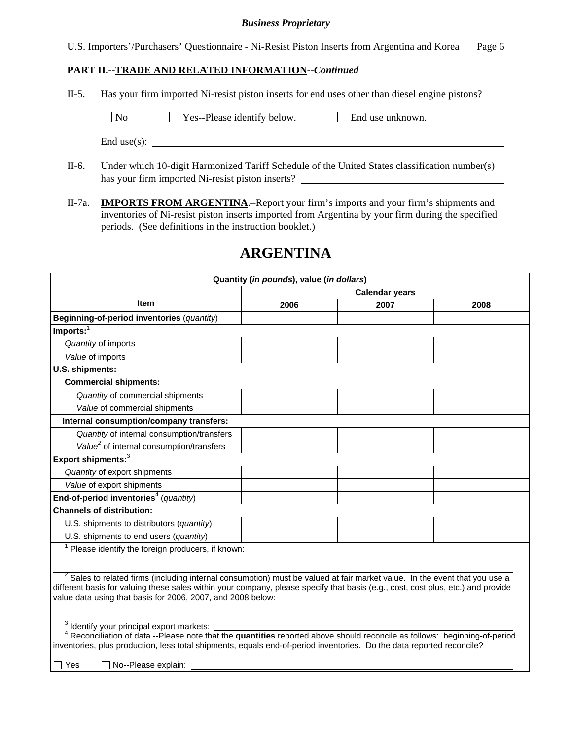U.S. Importers'/Purchasers' Questionnaire - Ni-Resist Piston Inserts from Argentina and Korea Page 6

# **PART II.--TRADE AND RELATED INFORMATION***--Continued*

II-5. Has your firm imported Ni-resist piston inserts for end uses other than diesel engine pistons?

| $\Box$ No | $\Box$ Yes--Please identify below. | $\Box$ End use unknown. |
|-----------|------------------------------------|-------------------------|
|           |                                    |                         |

End use(s):

- II-6. Under which 10-digit Harmonized Tariff Schedule of the United States classification number(s) has your firm imported Ni-resist piston inserts?
- II-7a. **IMPORTS FROM ARGENTINA**.–Report your firm's imports and your firm's shipments and inventories of Ni-resist piston inserts imported from Argentina by your firm during the specified periods. (See definitions in the instruction booklet.)

# **ARGENTINA**

| Quantity (in pounds), value (in dollars)                                                                                                                                                                                                                                                                                        |                       |      |      |  |  |  |
|---------------------------------------------------------------------------------------------------------------------------------------------------------------------------------------------------------------------------------------------------------------------------------------------------------------------------------|-----------------------|------|------|--|--|--|
|                                                                                                                                                                                                                                                                                                                                 | <b>Calendar years</b> |      |      |  |  |  |
| <b>Item</b>                                                                                                                                                                                                                                                                                                                     | 2006                  | 2007 | 2008 |  |  |  |
| Beginning-of-period inventories (quantity)                                                                                                                                                                                                                                                                                      |                       |      |      |  |  |  |
| $Imports:$ <sup>1</sup>                                                                                                                                                                                                                                                                                                         |                       |      |      |  |  |  |
| Quantity of imports                                                                                                                                                                                                                                                                                                             |                       |      |      |  |  |  |
| Value of imports                                                                                                                                                                                                                                                                                                                |                       |      |      |  |  |  |
| U.S. shipments:                                                                                                                                                                                                                                                                                                                 |                       |      |      |  |  |  |
| <b>Commercial shipments:</b>                                                                                                                                                                                                                                                                                                    |                       |      |      |  |  |  |
| Quantity of commercial shipments                                                                                                                                                                                                                                                                                                |                       |      |      |  |  |  |
| Value of commercial shipments                                                                                                                                                                                                                                                                                                   |                       |      |      |  |  |  |
| Internal consumption/company transfers:                                                                                                                                                                                                                                                                                         |                       |      |      |  |  |  |
| Quantity of internal consumption/transfers                                                                                                                                                                                                                                                                                      |                       |      |      |  |  |  |
| Value <sup>2</sup> of internal consumption/transfers                                                                                                                                                                                                                                                                            |                       |      |      |  |  |  |
| Export shipments: <sup>3</sup>                                                                                                                                                                                                                                                                                                  |                       |      |      |  |  |  |
| Quantity of export shipments                                                                                                                                                                                                                                                                                                    |                       |      |      |  |  |  |
| Value of export shipments                                                                                                                                                                                                                                                                                                       |                       |      |      |  |  |  |
| End-of-period inventories <sup>4</sup> (quantity)                                                                                                                                                                                                                                                                               |                       |      |      |  |  |  |
| <b>Channels of distribution:</b>                                                                                                                                                                                                                                                                                                |                       |      |      |  |  |  |
| U.S. shipments to distributors (quantity)                                                                                                                                                                                                                                                                                       |                       |      |      |  |  |  |
| U.S. shipments to end users (quantity)                                                                                                                                                                                                                                                                                          |                       |      |      |  |  |  |
| $1$ Please identify the foreign producers, if known:                                                                                                                                                                                                                                                                            |                       |      |      |  |  |  |
|                                                                                                                                                                                                                                                                                                                                 |                       |      |      |  |  |  |
| $2$ Sales to related firms (including internal consumption) must be valued at fair market value. In the event that you use a<br>different basis for valuing these sales within your company, please specify that basis (e.g., cost, cost plus, etc.) and provide<br>value data using that basis for 2006, 2007, and 2008 below: |                       |      |      |  |  |  |
|                                                                                                                                                                                                                                                                                                                                 |                       |      |      |  |  |  |
| Identify your principal export markets:<br>Reconciliation of data .-- Please note that the quantities reported above should reconcile as follows: beginning-of-period                                                                                                                                                           |                       |      |      |  |  |  |
| inventories, plus production, less total shipments, equals end-of-period inventories. Do the data reported reconcile?                                                                                                                                                                                                           |                       |      |      |  |  |  |
|                                                                                                                                                                                                                                                                                                                                 |                       |      |      |  |  |  |
| Yes<br>No--Please explain:                                                                                                                                                                                                                                                                                                      |                       |      |      |  |  |  |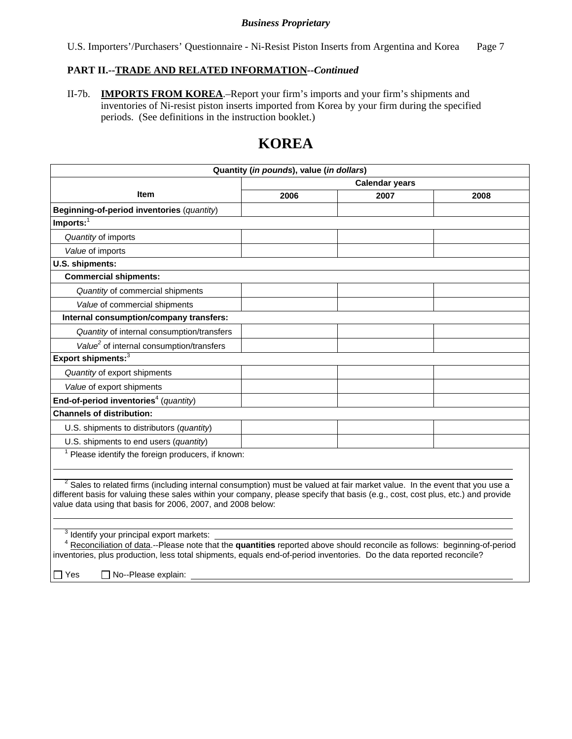U.S. Importers'/Purchasers' Questionnaire - Ni-Resist Piston Inserts from Argentina and Korea Page 7

# **PART II.--TRADE AND RELATED INFORMATION***--Continued*

II-7b. **IMPORTS FROM KOREA**.–Report your firm's imports and your firm's shipments and inventories of Ni-resist piston inserts imported from Korea by your firm during the specified periods. (See definitions in the instruction booklet.)

# **KOREA**

| Quantity (in pounds), value (in dollars)                                                                                                                                                                                                                                                                                                               |                       |      |      |  |  |
|--------------------------------------------------------------------------------------------------------------------------------------------------------------------------------------------------------------------------------------------------------------------------------------------------------------------------------------------------------|-----------------------|------|------|--|--|
|                                                                                                                                                                                                                                                                                                                                                        | <b>Calendar years</b> |      |      |  |  |
| <b>Item</b>                                                                                                                                                                                                                                                                                                                                            | 2006                  | 2007 | 2008 |  |  |
| Beginning-of-period inventories (quantity)                                                                                                                                                                                                                                                                                                             |                       |      |      |  |  |
| $Imports:$ <sup>1</sup>                                                                                                                                                                                                                                                                                                                                |                       |      |      |  |  |
| Quantity of imports                                                                                                                                                                                                                                                                                                                                    |                       |      |      |  |  |
| Value of imports                                                                                                                                                                                                                                                                                                                                       |                       |      |      |  |  |
| U.S. shipments:                                                                                                                                                                                                                                                                                                                                        |                       |      |      |  |  |
| <b>Commercial shipments:</b>                                                                                                                                                                                                                                                                                                                           |                       |      |      |  |  |
| Quantity of commercial shipments                                                                                                                                                                                                                                                                                                                       |                       |      |      |  |  |
| Value of commercial shipments                                                                                                                                                                                                                                                                                                                          |                       |      |      |  |  |
| Internal consumption/company transfers:                                                                                                                                                                                                                                                                                                                |                       |      |      |  |  |
| Quantity of internal consumption/transfers                                                                                                                                                                                                                                                                                                             |                       |      |      |  |  |
| Value <sup>2</sup> of internal consumption/transfers                                                                                                                                                                                                                                                                                                   |                       |      |      |  |  |
| Export shipments: <sup>3</sup>                                                                                                                                                                                                                                                                                                                         |                       |      |      |  |  |
| Quantity of export shipments                                                                                                                                                                                                                                                                                                                           |                       |      |      |  |  |
| Value of export shipments                                                                                                                                                                                                                                                                                                                              |                       |      |      |  |  |
| End-of-period inventories <sup>4</sup> (quantity)                                                                                                                                                                                                                                                                                                      |                       |      |      |  |  |
| <b>Channels of distribution:</b>                                                                                                                                                                                                                                                                                                                       |                       |      |      |  |  |
| U.S. shipments to distributors (quantity)                                                                                                                                                                                                                                                                                                              |                       |      |      |  |  |
| U.S. shipments to end users (quantity)                                                                                                                                                                                                                                                                                                                 |                       |      |      |  |  |
| $1$ Please identify the foreign producers, if known:                                                                                                                                                                                                                                                                                                   |                       |      |      |  |  |
|                                                                                                                                                                                                                                                                                                                                                        |                       |      |      |  |  |
| <sup>2</sup> Sales to related firms (including internal consumption) must be valued at fair market value. In the event that you use a<br>different basis for valuing these sales within your company, please specify that basis (e.g., cost, cost plus, etc.) and provide<br>value data using that basis for 2006, 2007, and 2008 below:               |                       |      |      |  |  |
| <sup>3</sup> Identify your principal export markets:<br><sup>4</sup> Reconciliation of data.--Please note that the quantities reported above should reconcile as follows: beginning-of-period<br>inventories, plus production, less total shipments, equals end-of-period inventories. Do the data reported reconcile?<br>No--Please explain:<br>∣ Yes |                       |      |      |  |  |
|                                                                                                                                                                                                                                                                                                                                                        |                       |      |      |  |  |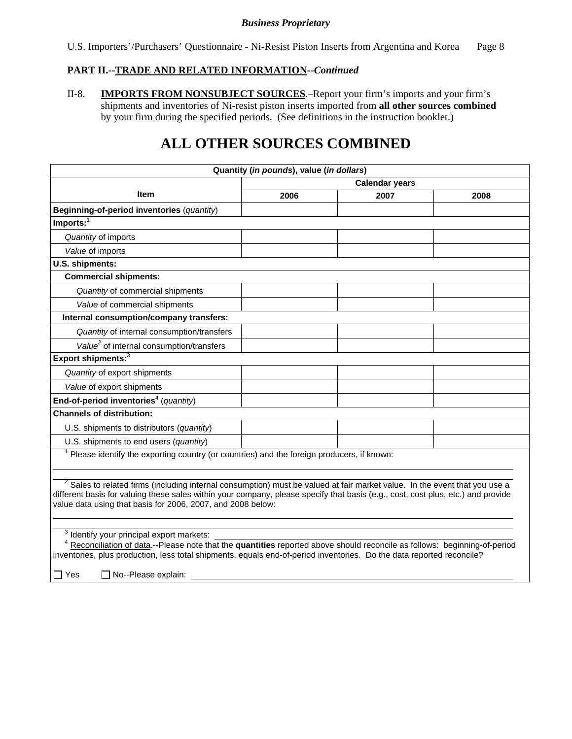U.S. Importers'/Purchasers' Questionnaire - Ni-Resist Piston Inserts from Argentina and Korea Page 8

# **PART II.--TRADE AND RELATED INFORMATION***--Continued*

II-8. **IMPORTS FROM NONSUBJECT SOURCES**.–Report your firm's imports and your firm's shipments and inventories of Ni-resist piston inserts imported from **all other sources combined**  by your firm during the specified periods. (See definitions in the instruction booklet.)

# **ALL OTHER SOURCES COMBINED**

| Quantity (in pounds), value (in dollars)                                                                                                                                                                                                                                                                                                 |                       |      |      |  |  |  |  |
|------------------------------------------------------------------------------------------------------------------------------------------------------------------------------------------------------------------------------------------------------------------------------------------------------------------------------------------|-----------------------|------|------|--|--|--|--|
|                                                                                                                                                                                                                                                                                                                                          | <b>Calendar years</b> |      |      |  |  |  |  |
| <b>Item</b>                                                                                                                                                                                                                                                                                                                              | 2006                  | 2007 | 2008 |  |  |  |  |
| Beginning-of-period inventories (quantity)                                                                                                                                                                                                                                                                                               |                       |      |      |  |  |  |  |
| $Imports:$ <sup>1</sup>                                                                                                                                                                                                                                                                                                                  |                       |      |      |  |  |  |  |
| Quantity of imports                                                                                                                                                                                                                                                                                                                      |                       |      |      |  |  |  |  |
| Value of imports                                                                                                                                                                                                                                                                                                                         |                       |      |      |  |  |  |  |
| U.S. shipments:                                                                                                                                                                                                                                                                                                                          |                       |      |      |  |  |  |  |
| <b>Commercial shipments:</b>                                                                                                                                                                                                                                                                                                             |                       |      |      |  |  |  |  |
| Quantity of commercial shipments                                                                                                                                                                                                                                                                                                         |                       |      |      |  |  |  |  |
| Value of commercial shipments                                                                                                                                                                                                                                                                                                            |                       |      |      |  |  |  |  |
| Internal consumption/company transfers:                                                                                                                                                                                                                                                                                                  |                       |      |      |  |  |  |  |
| Quantity of internal consumption/transfers                                                                                                                                                                                                                                                                                               |                       |      |      |  |  |  |  |
| Value <sup>2</sup> of internal consumption/transfers                                                                                                                                                                                                                                                                                     |                       |      |      |  |  |  |  |
| Export shipments: <sup>3</sup>                                                                                                                                                                                                                                                                                                           |                       |      |      |  |  |  |  |
| Quantity of export shipments                                                                                                                                                                                                                                                                                                             |                       |      |      |  |  |  |  |
| Value of export shipments                                                                                                                                                                                                                                                                                                                |                       |      |      |  |  |  |  |
| End-of-period inventories <sup>4</sup> (quantity)                                                                                                                                                                                                                                                                                        |                       |      |      |  |  |  |  |
| <b>Channels of distribution:</b>                                                                                                                                                                                                                                                                                                         |                       |      |      |  |  |  |  |
| U.S. shipments to distributors (quantity)                                                                                                                                                                                                                                                                                                |                       |      |      |  |  |  |  |
| U.S. shipments to end users (quantity)                                                                                                                                                                                                                                                                                                   |                       |      |      |  |  |  |  |
| Please identify the exporting country (or countries) and the foreign producers, if known:                                                                                                                                                                                                                                                |                       |      |      |  |  |  |  |
|                                                                                                                                                                                                                                                                                                                                          |                       |      |      |  |  |  |  |
| <sup>2</sup> Sales to related firms (including internal consumption) must be valued at fair market value. In the event that you use a<br>different basis for valuing these sales within your company, please specify that basis (e.g., cost, cost plus, etc.) and provide<br>value data using that basis for 2006, 2007, and 2008 below: |                       |      |      |  |  |  |  |
|                                                                                                                                                                                                                                                                                                                                          |                       |      |      |  |  |  |  |
| Identify your principal export markets:<br>Reconciliation of data.--Please note that the quantities reported above should reconcile as follows: beginning-of-period                                                                                                                                                                      |                       |      |      |  |  |  |  |
| inventories, plus production, less total shipments, equals end-of-period inventories. Do the data reported reconcile?                                                                                                                                                                                                                    |                       |      |      |  |  |  |  |
| $\Box$ Yes<br>No--Please explain:                                                                                                                                                                                                                                                                                                        |                       |      |      |  |  |  |  |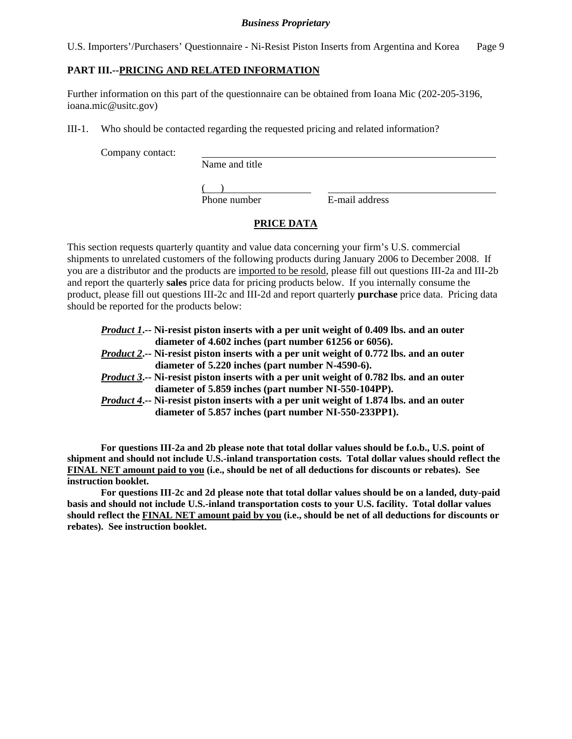U.S. Importers'/Purchasers' Questionnaire - Ni-Resist Piston Inserts from Argentina and Korea Page 9

## **PART III.--PRICING AND RELATED INFORMATION**

Further information on this part of the questionnaire can be obtained from Ioana Mic (202-205-3196, ioana.mic@usitc.gov)

III-1. Who should be contacted regarding the requested pricing and related information?

Company contact:

Name and title

 $\frac{1}{2}$ Phone number

E-mail address

# **PRICE DATA**

This section requests quarterly quantity and value data concerning your firm's U.S. commercial shipments to unrelated customers of the following products during January 2006 to December 2008. If you are a distributor and the products are imported to be resold, please fill out questions III-2a and III-2b and report the quarterly **sales** price data for pricing products below. If you internally consume the product, please fill out questions III-2c and III-2d and report quarterly **purchase** price data. Pricing data should be reported for the products below:

- *Product 1***.-- Ni-resist piston inserts with a per unit weight of 0.409 lbs. and an outer**  **diameter of 4.602 inches (part number 61256 or 6056).**  *Product 2***.-- Ni-resist piston inserts with a per unit weight of 0.772 lbs. and an outer**
- **diameter of 5.220 inches (part number N-4590-6).**
- *Product 3***.-- Ni-resist piston inserts with a per unit weight of 0.782 lbs. and an outer diameter of 5.859 inches (part number NI-550-104PP).**
- *Product 4***.-- Ni-resist piston inserts with a per unit weight of 1.874 lbs. and an outer diameter of 5.857 inches (part number NI-550-233PP1).**

**For questions III-2a and 2b please note that total dollar values should be f.o.b., U.S. point of shipment and should not include U.S.-inland transportation costs. Total dollar values should reflect the FINAL NET amount paid to you (i.e., should be net of all deductions for discounts or rebates). See instruction booklet.** 

**For questions III-2c and 2d please note that total dollar values should be on a landed, duty-paid basis and should not include U.S.-inland transportation costs to your U.S. facility. Total dollar values should reflect the FINAL NET amount paid by you (i.e., should be net of all deductions for discounts or rebates). See instruction booklet.**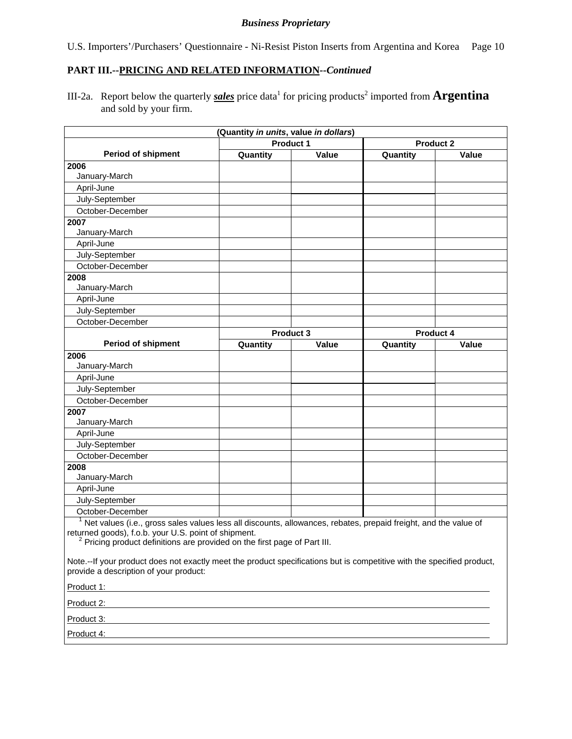U.S. Importers'/Purchasers' Questionnaire - Ni-Resist Piston Inserts from Argentina and Korea Page 10

## **PART III.--PRICING AND RELATED INFORMATION***--Continued*

III-2a. Report below the quarterly *sales* price data<sup>1</sup> for pricing products<sup>2</sup> imported from **Argentina** and sold by your firm.

| (Quantity in units, value in dollars)                                                                                                                                                                                                                               |          |                  |                  |       |  |  |
|---------------------------------------------------------------------------------------------------------------------------------------------------------------------------------------------------------------------------------------------------------------------|----------|------------------|------------------|-------|--|--|
|                                                                                                                                                                                                                                                                     |          | <b>Product 1</b> | <b>Product 2</b> |       |  |  |
| <b>Period of shipment</b>                                                                                                                                                                                                                                           | Quantity | Value            | Quantity         | Value |  |  |
| 2006                                                                                                                                                                                                                                                                |          |                  |                  |       |  |  |
| January-March                                                                                                                                                                                                                                                       |          |                  |                  |       |  |  |
| April-June                                                                                                                                                                                                                                                          |          |                  |                  |       |  |  |
| July-September                                                                                                                                                                                                                                                      |          |                  |                  |       |  |  |
| October-December                                                                                                                                                                                                                                                    |          |                  |                  |       |  |  |
| 2007                                                                                                                                                                                                                                                                |          |                  |                  |       |  |  |
| January-March                                                                                                                                                                                                                                                       |          |                  |                  |       |  |  |
| April-June                                                                                                                                                                                                                                                          |          |                  |                  |       |  |  |
| July-September                                                                                                                                                                                                                                                      |          |                  |                  |       |  |  |
| October-December                                                                                                                                                                                                                                                    |          |                  |                  |       |  |  |
| 2008                                                                                                                                                                                                                                                                |          |                  |                  |       |  |  |
| January-March                                                                                                                                                                                                                                                       |          |                  |                  |       |  |  |
| April-June                                                                                                                                                                                                                                                          |          |                  |                  |       |  |  |
| July-September                                                                                                                                                                                                                                                      |          |                  |                  |       |  |  |
| October-December                                                                                                                                                                                                                                                    |          |                  |                  |       |  |  |
|                                                                                                                                                                                                                                                                     |          | <b>Product 3</b> | <b>Product 4</b> |       |  |  |
| <b>Period of shipment</b>                                                                                                                                                                                                                                           | Quantity | Value            | Quantity         | Value |  |  |
| 2006                                                                                                                                                                                                                                                                |          |                  |                  |       |  |  |
| January-March                                                                                                                                                                                                                                                       |          |                  |                  |       |  |  |
| April-June                                                                                                                                                                                                                                                          |          |                  |                  |       |  |  |
| July-September                                                                                                                                                                                                                                                      |          |                  |                  |       |  |  |
| October-December                                                                                                                                                                                                                                                    |          |                  |                  |       |  |  |
| 2007                                                                                                                                                                                                                                                                |          |                  |                  |       |  |  |
| January-March                                                                                                                                                                                                                                                       |          |                  |                  |       |  |  |
| April-June                                                                                                                                                                                                                                                          |          |                  |                  |       |  |  |
| July-September                                                                                                                                                                                                                                                      |          |                  |                  |       |  |  |
| October-December                                                                                                                                                                                                                                                    |          |                  |                  |       |  |  |
| 2008                                                                                                                                                                                                                                                                |          |                  |                  |       |  |  |
| January-March                                                                                                                                                                                                                                                       |          |                  |                  |       |  |  |
| April-June                                                                                                                                                                                                                                                          |          |                  |                  |       |  |  |
| July-September                                                                                                                                                                                                                                                      |          |                  |                  |       |  |  |
| October-December                                                                                                                                                                                                                                                    |          |                  |                  |       |  |  |
| $1$ Net values (i.e., gross sales values less all discounts, allowances, rebates, prepaid freight, and the value of<br>returned goods), f.o.b. your U.S. point of shipment.<br><sup>2</sup> Pricing product definitions are provided on the first page of Part III. |          |                  |                  |       |  |  |
| Note.--If your product does not exactly meet the product specifications but is competitive with the specified product,<br>provide a description of your product:<br>Product 1:                                                                                      |          |                  |                  |       |  |  |

Product 2:

Product 3:

Product 4: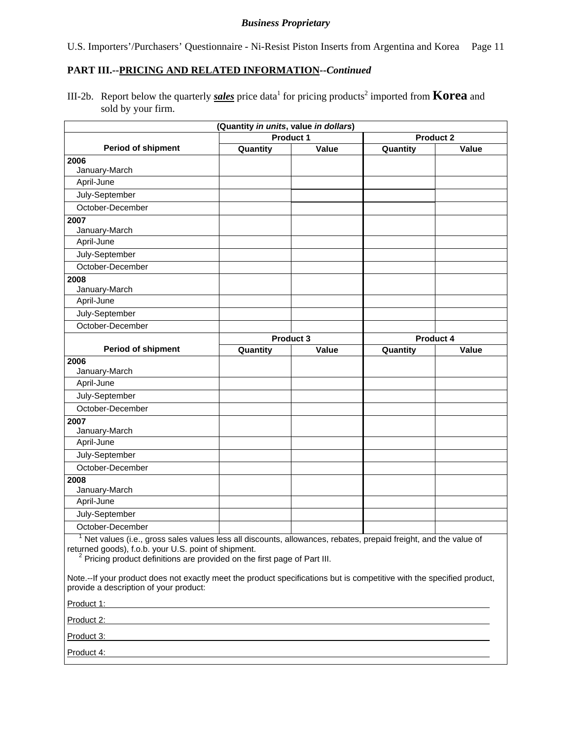U.S. Importers'/Purchasers' Questionnaire - Ni-Resist Piston Inserts from Argentina and Korea Page 11

## **PART III.--PRICING AND RELATED INFORMATION***--Continued*

III-2b. Report below the quarterly *sales* price data<sup>1</sup> for pricing products<sup>2</sup> imported from **Korea** and sold by your firm.

|                                                                                                                                                                                                                                                                                                                                                                                                        | (Quantity in units, value in dollars) |                  |                  |       |
|--------------------------------------------------------------------------------------------------------------------------------------------------------------------------------------------------------------------------------------------------------------------------------------------------------------------------------------------------------------------------------------------------------|---------------------------------------|------------------|------------------|-------|
|                                                                                                                                                                                                                                                                                                                                                                                                        |                                       | Product 1        | <b>Product 2</b> |       |
| <b>Period of shipment</b>                                                                                                                                                                                                                                                                                                                                                                              | Quantity                              | Value            | Quantity         | Value |
| 2006                                                                                                                                                                                                                                                                                                                                                                                                   |                                       |                  |                  |       |
| January-March                                                                                                                                                                                                                                                                                                                                                                                          |                                       |                  |                  |       |
| April-June                                                                                                                                                                                                                                                                                                                                                                                             |                                       |                  |                  |       |
| July-September                                                                                                                                                                                                                                                                                                                                                                                         |                                       |                  |                  |       |
| October-December                                                                                                                                                                                                                                                                                                                                                                                       |                                       |                  |                  |       |
| 2007                                                                                                                                                                                                                                                                                                                                                                                                   |                                       |                  |                  |       |
| January-March                                                                                                                                                                                                                                                                                                                                                                                          |                                       |                  |                  |       |
| April-June                                                                                                                                                                                                                                                                                                                                                                                             |                                       |                  |                  |       |
| July-September                                                                                                                                                                                                                                                                                                                                                                                         |                                       |                  |                  |       |
| October-December                                                                                                                                                                                                                                                                                                                                                                                       |                                       |                  |                  |       |
| 2008                                                                                                                                                                                                                                                                                                                                                                                                   |                                       |                  |                  |       |
| January-March                                                                                                                                                                                                                                                                                                                                                                                          |                                       |                  |                  |       |
| April-June                                                                                                                                                                                                                                                                                                                                                                                             |                                       |                  |                  |       |
| July-September                                                                                                                                                                                                                                                                                                                                                                                         |                                       |                  |                  |       |
| October-December                                                                                                                                                                                                                                                                                                                                                                                       |                                       |                  |                  |       |
|                                                                                                                                                                                                                                                                                                                                                                                                        |                                       | <b>Product 3</b> | <b>Product 4</b> |       |
| <b>Period of shipment</b>                                                                                                                                                                                                                                                                                                                                                                              | Quantity                              | Value            | Quantity         | Value |
| 2006                                                                                                                                                                                                                                                                                                                                                                                                   |                                       |                  |                  |       |
| January-March                                                                                                                                                                                                                                                                                                                                                                                          |                                       |                  |                  |       |
| April-June                                                                                                                                                                                                                                                                                                                                                                                             |                                       |                  |                  |       |
| July-September                                                                                                                                                                                                                                                                                                                                                                                         |                                       |                  |                  |       |
| October-December                                                                                                                                                                                                                                                                                                                                                                                       |                                       |                  |                  |       |
| 2007                                                                                                                                                                                                                                                                                                                                                                                                   |                                       |                  |                  |       |
| January-March                                                                                                                                                                                                                                                                                                                                                                                          |                                       |                  |                  |       |
| April-June                                                                                                                                                                                                                                                                                                                                                                                             |                                       |                  |                  |       |
| July-September                                                                                                                                                                                                                                                                                                                                                                                         |                                       |                  |                  |       |
| October-December                                                                                                                                                                                                                                                                                                                                                                                       |                                       |                  |                  |       |
| 2008                                                                                                                                                                                                                                                                                                                                                                                                   |                                       |                  |                  |       |
| January-March                                                                                                                                                                                                                                                                                                                                                                                          |                                       |                  |                  |       |
| April-June                                                                                                                                                                                                                                                                                                                                                                                             |                                       |                  |                  |       |
| July-September                                                                                                                                                                                                                                                                                                                                                                                         |                                       |                  |                  |       |
| October-December                                                                                                                                                                                                                                                                                                                                                                                       |                                       |                  |                  |       |
| <sup>1</sup> Net values (i.e., gross sales values less all discounts, allowances, rebates, prepaid freight, and the value of<br>returned goods), f.o.b. your U.S. point of shipment.<br><sup>2</sup> Pricing product definitions are provided on the first page of Part III.<br>Note.--If your product does not exactly meet the product specifications but is competitive with the specified product, |                                       |                  |                  |       |
| provide a description of your product:                                                                                                                                                                                                                                                                                                                                                                 |                                       |                  |                  |       |

Product 1:

Product 2:

Product 3:

Product 4: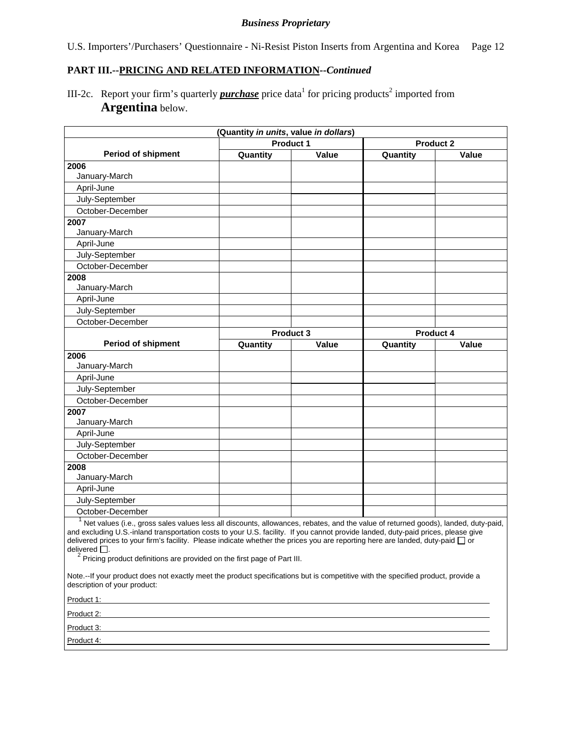U.S. Importers'/Purchasers' Questionnaire - Ni-Resist Piston Inserts from Argentina and Korea Page 12

# **PART III.--PRICING AND RELATED INFORMATION***--Continued*

III-2c. Report your firm's quarterly *purchase* price data<sup>1</sup> for pricing products<sup>2</sup> imported from **Argentina** below.

|                           | (Quantity in units, value in dollars) |              |            |                                        |
|---------------------------|---------------------------------------|--------------|------------|----------------------------------------|
|                           | Product 1                             |              |            | <b>Product 2</b>                       |
| <b>Period of shipment</b> | Quantity                              | Value        | Quantity   | Value                                  |
| 2006                      |                                       |              |            |                                        |
| January-March             |                                       |              |            |                                        |
| April-June                |                                       |              |            |                                        |
| July-September            |                                       |              |            |                                        |
| October-December          |                                       |              |            |                                        |
| 2007                      |                                       |              |            |                                        |
| January-March             |                                       |              |            |                                        |
| April-June                |                                       |              |            |                                        |
| July-September            |                                       |              |            |                                        |
| October-December          |                                       |              |            |                                        |
| 2008                      |                                       |              |            |                                        |
| January-March             |                                       |              |            |                                        |
| April-June                |                                       |              |            |                                        |
| July-September            |                                       |              |            |                                        |
| October-December          |                                       |              |            |                                        |
|                           | Product 3                             |              | Product 4  |                                        |
| <b>Period of shipment</b> | Quantity                              | Value        | Quantity   | Value                                  |
| 2006                      |                                       |              |            |                                        |
| January-March             |                                       |              |            |                                        |
| April-June                |                                       |              |            |                                        |
| July-September            |                                       |              |            |                                        |
| October-December          |                                       |              |            |                                        |
| 2007                      |                                       |              |            |                                        |
| January-March             |                                       |              |            |                                        |
| April-June                |                                       |              |            |                                        |
| July-September            |                                       |              |            |                                        |
| October-December          |                                       |              |            |                                        |
| 2008                      |                                       |              |            |                                        |
| January-March             |                                       |              |            |                                        |
| April-June                |                                       |              |            |                                        |
| July-September            |                                       |              |            |                                        |
| October-December          |                                       |              |            |                                        |
| $1 \ldots$ $\ldots$       | $\mathbf{u}$ and $\mathbf{u}$         | $\mathbf{r}$ | $\epsilon$ | $\mathbf{r}$ $\mathbf{v}$ $\mathbf{r}$ |

 $\overline{\phantom{a}}$  Net values (i.e., gross sales values less all discounts, allowances, rebates, and the value of returned goods), landed, duty-paid, and excluding U.S.-inland transportation costs to your U.S. facility. If you cannot provide landed, duty-paid prices, please give delivered prices to your firm's facility. Please indicate whether the prices you are reporting here are landed, duty-paid  $\Box$  or

delivered  $\square$ .<br><sup>2</sup> Pricing product definitions are provided on the first page of Part III.

Note.--If your product does not exactly meet the product specifications but is competitive with the specified product, provide a description of your product:

Product 1:

Product 2:

Product 3: Product 4: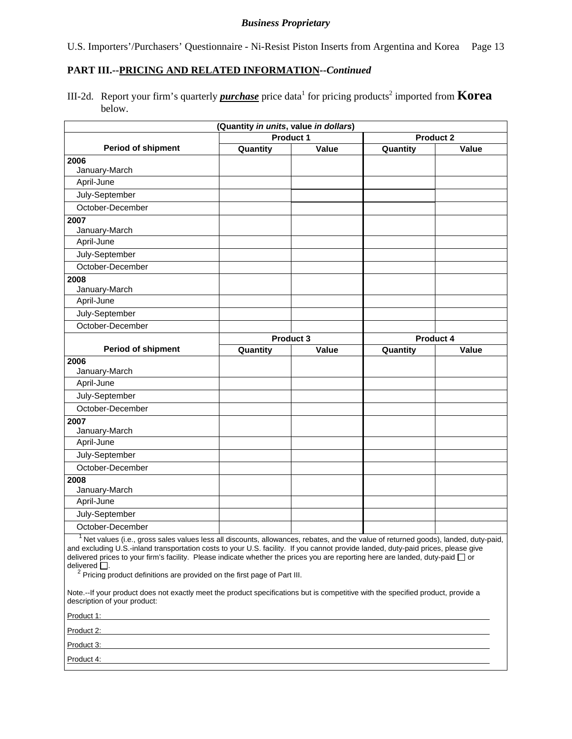U.S. Importers'/Purchasers' Questionnaire - Ni-Resist Piston Inserts from Argentina and Korea Page 13

#### **PART III.--PRICING AND RELATED INFORMATION***--Continued*

III-2d. Report your firm's quarterly *purchase* price data<sup>1</sup> for pricing products<sup>2</sup> imported from **Korea** below.

|                                   | (Quantity in units, value in dollars)         |       |                                                                                        |       |
|-----------------------------------|-----------------------------------------------|-------|----------------------------------------------------------------------------------------|-------|
|                                   | Product 1                                     |       | <b>Product 2</b>                                                                       |       |
| <b>Period of shipment</b>         | Quantity                                      | Value | Quantity                                                                               | Value |
| 2006                              |                                               |       |                                                                                        |       |
| January-March                     |                                               |       |                                                                                        |       |
| April-June                        |                                               |       |                                                                                        |       |
| July-September                    |                                               |       |                                                                                        |       |
| October-December                  |                                               |       |                                                                                        |       |
| 2007                              |                                               |       |                                                                                        |       |
| January-March                     |                                               |       |                                                                                        |       |
| April-June                        |                                               |       |                                                                                        |       |
| July-September                    |                                               |       |                                                                                        |       |
| October-December                  |                                               |       |                                                                                        |       |
| 2008                              |                                               |       |                                                                                        |       |
| January-March                     |                                               |       |                                                                                        |       |
| April-June                        |                                               |       |                                                                                        |       |
| July-September                    |                                               |       |                                                                                        |       |
| October-December                  |                                               |       |                                                                                        |       |
|                                   | Product 3                                     |       | Product 4                                                                              |       |
| <b>Period of shipment</b>         | Quantity                                      | Value | Quantity                                                                               | Value |
| 2006                              |                                               |       |                                                                                        |       |
| January-March                     |                                               |       |                                                                                        |       |
| April-June                        |                                               |       |                                                                                        |       |
| July-September                    |                                               |       |                                                                                        |       |
| October-December                  |                                               |       |                                                                                        |       |
| 2007                              |                                               |       |                                                                                        |       |
| January-March                     |                                               |       |                                                                                        |       |
| April-June                        |                                               |       |                                                                                        |       |
| July-September                    |                                               |       |                                                                                        |       |
| October-December                  |                                               |       |                                                                                        |       |
| 2008                              |                                               |       |                                                                                        |       |
| January-March                     |                                               |       |                                                                                        |       |
| April-June                        |                                               |       |                                                                                        |       |
| July-September                    |                                               |       |                                                                                        |       |
| October-December                  |                                               |       |                                                                                        |       |
| $1_{\text{Mott},\text{infinite}}$ | ورزوالها ولمستوجبات المروموا ووزاور ومواجع وو |       | المقصور ويقربان المتحام مرجان لأجام وتعامله ومستنقصة فتراح والمرار وتعاط المترجن وتعقف |       |

Net values (i.e., gross sales values less all discounts, allowances, rebates, and the value of returned goods), landed, duty-paid, and excluding U.S.-inland transportation costs to your U.S. facility. If you cannot provide landed, duty-paid prices, please give delivered prices to your firm's facility. Please indicate whether the prices you are reporting here are landed, duty-paid  $\Box$  or delivered  $\Box$ .

 $2$  Pricing product definitions are provided on the first page of Part III.

Note.--If your product does not exactly meet the product specifications but is competitive with the specified product, provide a description of your product:

| Product 1: |  |
|------------|--|
| Product 2: |  |
| Product 3: |  |
| Product 4: |  |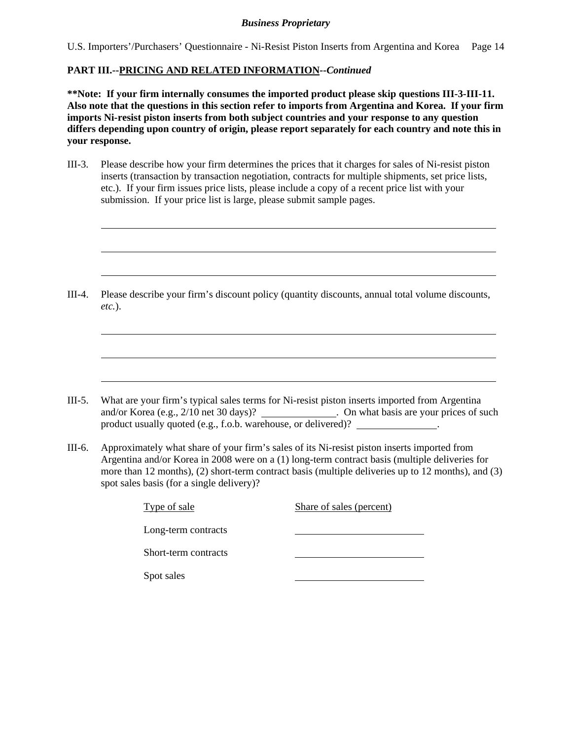U.S. Importers'/Purchasers' Questionnaire - Ni-Resist Piston Inserts from Argentina and Korea Page 14

### **PART III.--PRICING AND RELATED INFORMATION***--Continued*

 $\overline{a}$ 

 $\overline{a}$ 

 $\overline{a}$ 

 $\overline{a}$ 

 $\overline{a}$ 

 $\overline{a}$ 

**\*\*Note: If your firm internally consumes the imported product please skip questions III-3-III-11. Also note that the questions in this section refer to imports from Argentina and Korea. If your firm imports Ni-resist piston inserts from both subject countries and your response to any question differs depending upon country of origin, please report separately for each country and note this in your response.** 

III-3. Please describe how your firm determines the prices that it charges for sales of Ni-resist piston inserts (transaction by transaction negotiation, contracts for multiple shipments, set price lists, etc.). If your firm issues price lists, please include a copy of a recent price list with your submission. If your price list is large, please submit sample pages.

III-4. Please describe your firm's discount policy (quantity discounts, annual total volume discounts, *etc.*).

- III-5. What are your firm's typical sales terms for Ni-resist piston inserts imported from Argentina and/or Korea (e.g., 2/10 net 30 days)? . On what basis are your prices of such product usually quoted (e.g., f.o.b. warehouse, or delivered)? \_\_\_\_\_\_\_\_\_\_\_\_\_\_\_\_.
- III-6. Approximately what share of your firm's sales of its Ni-resist piston inserts imported from Argentina and/or Korea in 2008 were on a (1) long-term contract basis (multiple deliveries for more than 12 months), (2) short-term contract basis (multiple deliveries up to 12 months), and (3) spot sales basis (for a single delivery)?

| Type of sale         | Share of sales (percent) |
|----------------------|--------------------------|
| Long-term contracts  |                          |
| Short-term contracts |                          |
| Spot sales           |                          |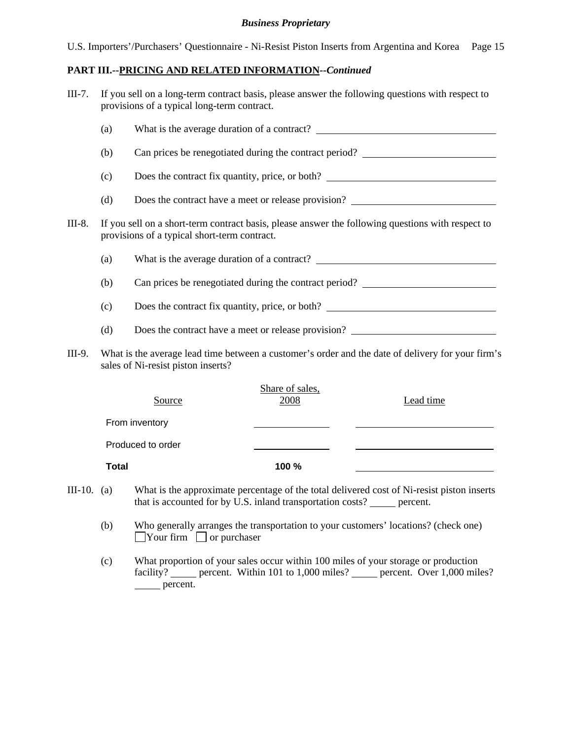|  |  | U.S. Importers'/Purchasers' Questionnaire - Ni-Resist Piston Inserts from Argentina and Korea Page 15 |  |
|--|--|-------------------------------------------------------------------------------------------------------|--|
|  |  |                                                                                                       |  |

#### **PART III.--PRICING AND RELATED INFORMATION***--Continued*

| $III-7.$ | If you sell on a long-term contract basis, please answer the following questions with respect to |
|----------|--------------------------------------------------------------------------------------------------|
|          | provisions of a typical long-term contract.                                                      |

|        | (a)                                                                                                                                     |                                                                                                                                                   |  |  |  |
|--------|-----------------------------------------------------------------------------------------------------------------------------------------|---------------------------------------------------------------------------------------------------------------------------------------------------|--|--|--|
|        | (b)                                                                                                                                     | Can prices be renegotiated during the contract period?                                                                                            |  |  |  |
|        | (c)                                                                                                                                     | Does the contract fix quantity, price, or both?                                                                                                   |  |  |  |
|        | (d)                                                                                                                                     | Does the contract have a meet or release provision?                                                                                               |  |  |  |
| III-8. |                                                                                                                                         | If you sell on a short-term contract basis, please answer the following questions with respect to<br>provisions of a typical short-term contract. |  |  |  |
|        | (a)                                                                                                                                     |                                                                                                                                                   |  |  |  |
|        | (b)                                                                                                                                     | Can prices be renegotiated during the contract period?                                                                                            |  |  |  |
|        | (c)                                                                                                                                     | Does the contract fix quantity, price, or both?                                                                                                   |  |  |  |
|        | (d)                                                                                                                                     | Does the contract have a meet or release provision?                                                                                               |  |  |  |
| III-9. | What is the average lead time between a customer's order and the date of delivery for your firm's<br>sales of Ni-resist piston inserts? |                                                                                                                                                   |  |  |  |

| Source            | Share of sales,<br>2008 | Lead time |
|-------------------|-------------------------|-----------|
| From inventory    |                         |           |
| Produced to order |                         |           |
| <b>Total</b>      | 100 %                   |           |
|                   |                         |           |

- III-10. (a) What is the approximate percentage of the total delivered cost of Ni-resist piston inserts that is accounted for by  $\hat{U}$ . S. inland transportation costs? \_\_\_\_\_ percent.
	- (b) Who generally arranges the transportation to your customers' locations? (check one)  $\Box$ Your firm  $\Box$  or purchaser
	- (c) What proportion of your sales occur within 100 miles of your storage or production facility? <u>percent</u>. Within 101 to 1,000 miles? percent. Over 1,000 miles? percent.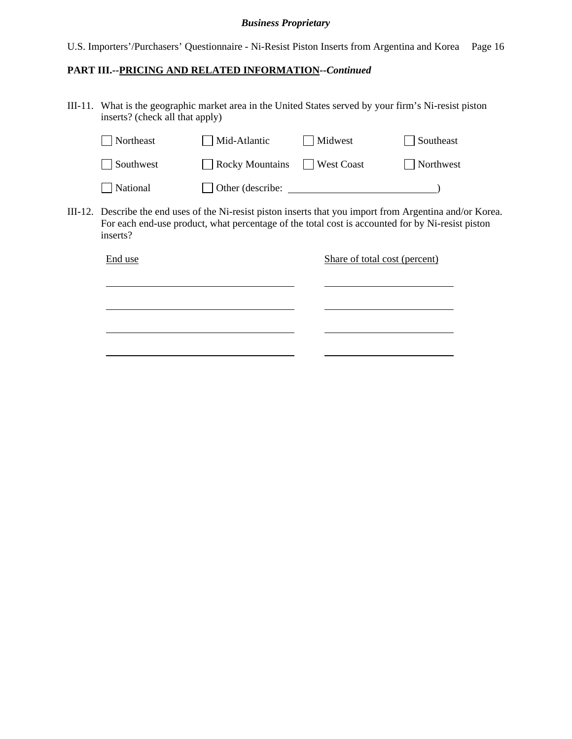U.S. Importers'/Purchasers' Questionnaire - Ni-Resist Piston Inserts from Argentina and Korea Page 16

# **PART III.--PRICING AND RELATED INFORMATION***--Continued*

III-11. What is the geographic market area in the United States served by your firm's Ni-resist piston inserts? (check all that apply)

|         | Northeast                                                                                                                                                                                                          | Mid-Atlantic           |  | Midwest                       | Southeast |  |
|---------|--------------------------------------------------------------------------------------------------------------------------------------------------------------------------------------------------------------------|------------------------|--|-------------------------------|-----------|--|
|         | Southwest                                                                                                                                                                                                          | <b>Rocky Mountains</b> |  | <b>West Coast</b>             | Northwest |  |
|         | National                                                                                                                                                                                                           | Other (describe:       |  |                               |           |  |
| III-12. | Describe the end uses of the Ni-resist piston inserts that you import from Argentina and/or Korea.<br>For each end-use product, what percentage of the total cost is accounted for by Ni-resist piston<br>inserts? |                        |  |                               |           |  |
|         | End use                                                                                                                                                                                                            |                        |  | Share of total cost (percent) |           |  |
|         |                                                                                                                                                                                                                    |                        |  |                               |           |  |
|         |                                                                                                                                                                                                                    |                        |  |                               |           |  |
|         |                                                                                                                                                                                                                    |                        |  |                               |           |  |
|         |                                                                                                                                                                                                                    |                        |  |                               |           |  |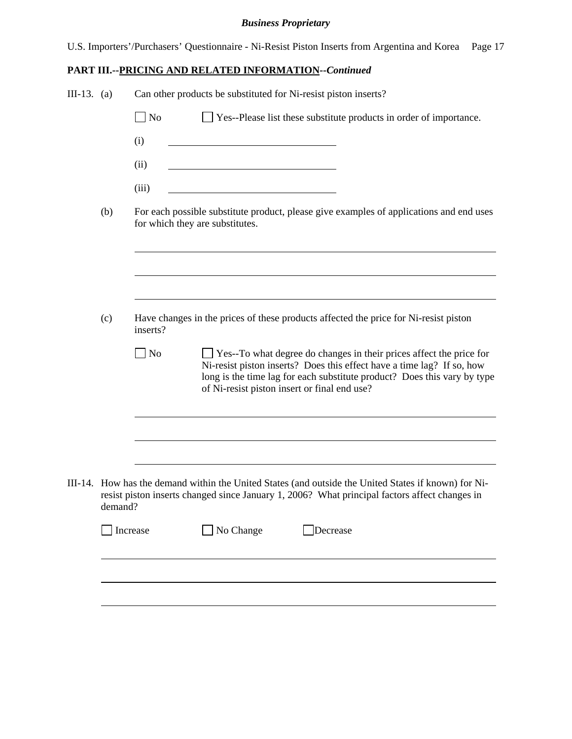U.S. Importers'/Purchasers' Questionnaire - Ni-Resist Piston Inserts from Argentina and Korea Page 17

# **PART III.--PRICING AND RELATED INFORMATION***--Continued*

| III-13. (a) |         | Can other products be substituted for Ni-resist piston inserts?                                                                                                                                                                                                                               |  |  |  |
|-------------|---------|-----------------------------------------------------------------------------------------------------------------------------------------------------------------------------------------------------------------------------------------------------------------------------------------------|--|--|--|
|             |         | $\Box$ No<br>Yes--Please list these substitute products in order of importance.                                                                                                                                                                                                               |  |  |  |
|             |         | (i)                                                                                                                                                                                                                                                                                           |  |  |  |
|             |         | (ii)<br>the contract of the contract of the contract of the contract of the contract of                                                                                                                                                                                                       |  |  |  |
|             |         | (iii)                                                                                                                                                                                                                                                                                         |  |  |  |
|             | (b)     | For each possible substitute product, please give examples of applications and end uses<br>for which they are substitutes.                                                                                                                                                                    |  |  |  |
|             |         |                                                                                                                                                                                                                                                                                               |  |  |  |
|             | (c)     | Have changes in the prices of these products affected the price for Ni-resist piston<br>inserts?                                                                                                                                                                                              |  |  |  |
|             |         | $\Box$ No<br>$\Box$ Yes--To what degree do changes in their prices affect the price for<br>Ni-resist piston inserts? Does this effect have a time lag? If so, how<br>long is the time lag for each substitute product? Does this vary by type<br>of Ni-resist piston insert or final end use? |  |  |  |
|             |         |                                                                                                                                                                                                                                                                                               |  |  |  |
|             | demand? | III-14. How has the demand within the United States (and outside the United States if known) for Ni-<br>resist piston inserts changed since January 1, 2006? What principal factors affect changes in                                                                                         |  |  |  |
|             |         | No Change<br>Increase<br>Decrease                                                                                                                                                                                                                                                             |  |  |  |
|             |         |                                                                                                                                                                                                                                                                                               |  |  |  |
|             |         |                                                                                                                                                                                                                                                                                               |  |  |  |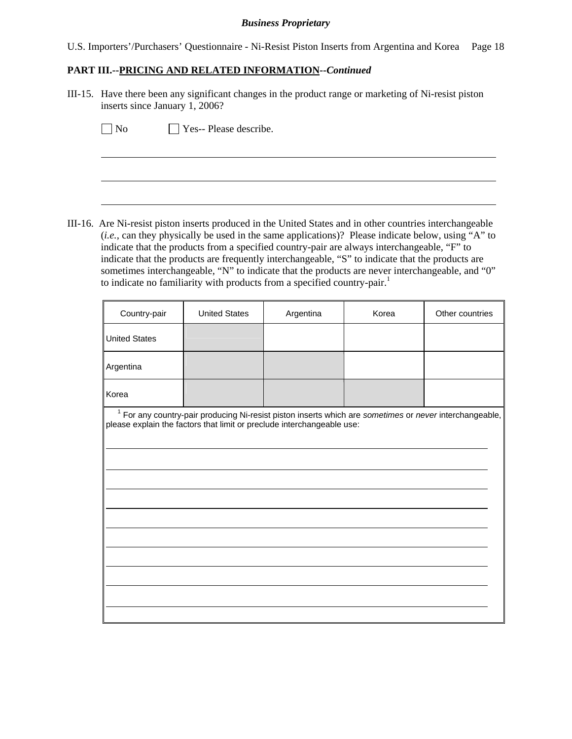U.S. Importers'/Purchasers' Questionnaire - Ni-Resist Piston Inserts from Argentina and Korea Page 18

# **PART III.--PRICING AND RELATED INFORMATION***--Continued*

III-15. Have there been any significant changes in the product range or marketing of Ni-resist piston inserts since January 1, 2006?

 $\overline{a}$ 

No **No** Yes-- Please describe.

III-16. Are Ni-resist piston inserts produced in the United States and in other countries interchangeable (*i.e.*, can they physically be used in the same applications)? Please indicate below, using "A" to indicate that the products from a specified country-pair are always interchangeable, "F" to indicate that the products are frequently interchangeable, "S" to indicate that the products are sometimes interchangeable, "N" to indicate that the products are never interchangeable, and "0" to indicate no familiarity with products from a specified country-pair.<sup>1</sup>

| Country-pair         | <b>United States</b>                                                                                                                                                                         | Argentina | Korea | Other countries |  |  |
|----------------------|----------------------------------------------------------------------------------------------------------------------------------------------------------------------------------------------|-----------|-------|-----------------|--|--|
| <b>United States</b> |                                                                                                                                                                                              |           |       |                 |  |  |
| Argentina            |                                                                                                                                                                                              |           |       |                 |  |  |
| Korea                |                                                                                                                                                                                              |           |       |                 |  |  |
|                      | <sup>1</sup> For any country-pair producing Ni-resist piston inserts which are sometimes or never interchangeable,<br>please explain the factors that limit or preclude interchangeable use: |           |       |                 |  |  |
|                      |                                                                                                                                                                                              |           |       |                 |  |  |
|                      |                                                                                                                                                                                              |           |       |                 |  |  |
|                      |                                                                                                                                                                                              |           |       |                 |  |  |
|                      |                                                                                                                                                                                              |           |       |                 |  |  |
|                      |                                                                                                                                                                                              |           |       |                 |  |  |
|                      |                                                                                                                                                                                              |           |       |                 |  |  |
|                      |                                                                                                                                                                                              |           |       |                 |  |  |
|                      |                                                                                                                                                                                              |           |       |                 |  |  |
|                      |                                                                                                                                                                                              |           |       |                 |  |  |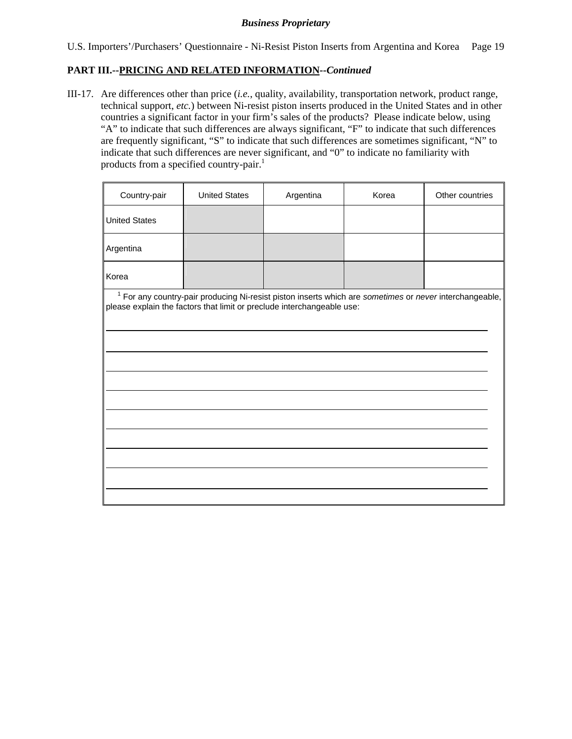# **PART III.--PRICING AND RELATED INFORMATION***--Continued*

III-17. Are differences other than price (*i.e.*, quality, availability, transportation network, product range, technical support, *etc.*) between Ni-resist piston inserts produced in the United States and in other countries a significant factor in your firm's sales of the products? Please indicate below, using "A" to indicate that such differences are always significant, "F" to indicate that such differences are frequently significant, "S" to indicate that such differences are sometimes significant, "N" to indicate that such differences are never significant, and "0" to indicate no familiarity with products from a specified country-pair.<sup>1</sup>

| Country-pair         | <b>United States</b>                                                                                                                                                                         | Argentina | Korea | Other countries |  |  |  |
|----------------------|----------------------------------------------------------------------------------------------------------------------------------------------------------------------------------------------|-----------|-------|-----------------|--|--|--|
| <b>United States</b> |                                                                                                                                                                                              |           |       |                 |  |  |  |
| Argentina            |                                                                                                                                                                                              |           |       |                 |  |  |  |
| Korea                |                                                                                                                                                                                              |           |       |                 |  |  |  |
|                      | <sup>1</sup> For any country-pair producing Ni-resist piston inserts which are sometimes or never interchangeable,<br>please explain the factors that limit or preclude interchangeable use: |           |       |                 |  |  |  |
|                      |                                                                                                                                                                                              |           |       |                 |  |  |  |
|                      |                                                                                                                                                                                              |           |       |                 |  |  |  |
|                      |                                                                                                                                                                                              |           |       |                 |  |  |  |
|                      |                                                                                                                                                                                              |           |       |                 |  |  |  |
|                      |                                                                                                                                                                                              |           |       |                 |  |  |  |
|                      |                                                                                                                                                                                              |           |       |                 |  |  |  |
|                      |                                                                                                                                                                                              |           |       |                 |  |  |  |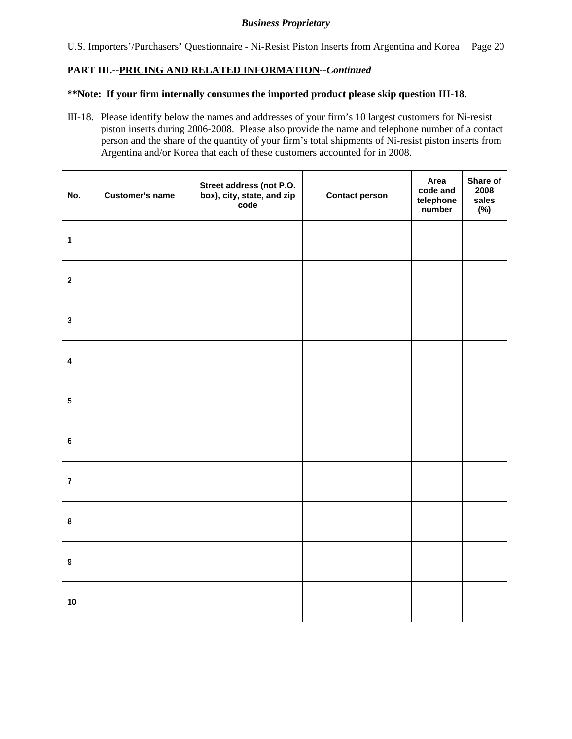U.S. Importers'/Purchasers' Questionnaire - Ni-Resist Piston Inserts from Argentina and Korea Page 20

# **PART III.--PRICING AND RELATED INFORMATION***--Continued*

#### **\*\*Note: If your firm internally consumes the imported product please skip question III-18.**

III-18. Please identify below the names and addresses of your firm's 10 largest customers for Ni-resist piston inserts during 2006-2008. Please also provide the name and telephone number of a contact person and the share of the quantity of your firm's total shipments of Ni-resist piston inserts from Argentina and/or Korea that each of these customers accounted for in 2008.

| No.              | <b>Customer's name</b> | Street address (not P.O.<br>box), city, state, and zip<br>code | <b>Contact person</b> | Area<br>code and<br>telephone<br>number | Share of<br>2008<br>sales<br>$(\%)$ |
|------------------|------------------------|----------------------------------------------------------------|-----------------------|-----------------------------------------|-------------------------------------|
| $\mathbf{1}$     |                        |                                                                |                       |                                         |                                     |
| $\mathbf{2}$     |                        |                                                                |                       |                                         |                                     |
| $\mathbf{3}$     |                        |                                                                |                       |                                         |                                     |
| $\pmb{4}$        |                        |                                                                |                       |                                         |                                     |
| $5\phantom{a}$   |                        |                                                                |                       |                                         |                                     |
| $\bf 6$          |                        |                                                                |                       |                                         |                                     |
| $\overline{7}$   |                        |                                                                |                       |                                         |                                     |
| $\bf8$           |                        |                                                                |                       |                                         |                                     |
| $\boldsymbol{9}$ |                        |                                                                |                       |                                         |                                     |
| 10               |                        |                                                                |                       |                                         |                                     |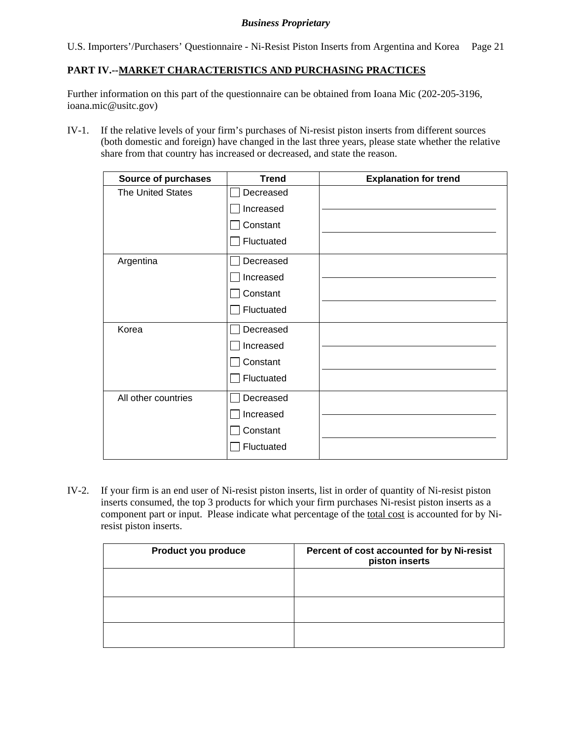U.S. Importers'/Purchasers' Questionnaire - Ni-Resist Piston Inserts from Argentina and Korea Page 21

# **PART IV.--MARKET CHARACTERISTICS AND PURCHASING PRACTICES**

Further information on this part of the questionnaire can be obtained from Ioana Mic (202-205-3196, ioana.mic@usitc.gov)

IV-1. If the relative levels of your firm's purchases of Ni-resist piston inserts from different sources (both domestic and foreign) have changed in the last three years, please state whether the relative share from that country has increased or decreased, and state the reason.

| Source of purchases      | <b>Trend</b> | <b>Explanation for trend</b> |
|--------------------------|--------------|------------------------------|
| <b>The United States</b> | Decreased    |                              |
|                          | Increased    |                              |
|                          | Constant     |                              |
|                          | Fluctuated   |                              |
| Argentina                | Decreased    |                              |
|                          | Increased    |                              |
|                          | Constant     |                              |
|                          | Fluctuated   |                              |
| Korea                    | Decreased    |                              |
|                          | Increased    |                              |
|                          | Constant     |                              |
|                          | Fluctuated   |                              |
| All other countries      | Decreased    |                              |
|                          | Increased    |                              |
|                          | Constant     |                              |
|                          | Fluctuated   |                              |

IV-2. If your firm is an end user of Ni-resist piston inserts, list in order of quantity of Ni-resist piston inserts consumed, the top 3 products for which your firm purchases Ni-resist piston inserts as a component part or input. Please indicate what percentage of the total cost is accounted for by Niresist piston inserts.

| Product you produce | Percent of cost accounted for by Ni-resist<br>piston inserts |
|---------------------|--------------------------------------------------------------|
|                     |                                                              |
|                     |                                                              |
|                     |                                                              |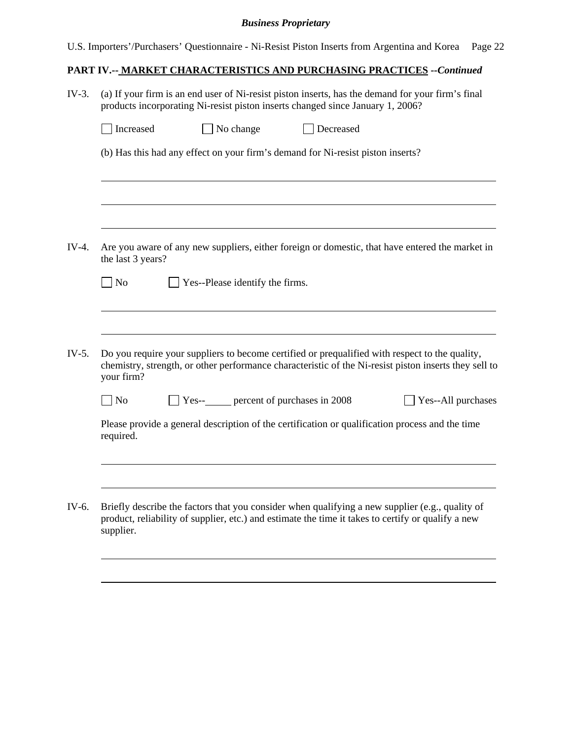|  |  | U.S. Importers'/Purchasers' Questionnaire - Ni-Resist Piston Inserts from Argentina and Korea Page 22 |  |
|--|--|-------------------------------------------------------------------------------------------------------|--|

# **PART IV.-- MARKET CHARACTERISTICS AND PURCHASING PRACTICES** *--Continued*

| $IV-3.$ | (a) If your firm is an end user of Ni-resist piston inserts, has the demand for your firm's final<br>products incorporating Ni-resist piston inserts changed since January 1, 2006?                                   |  |  |  |  |
|---------|-----------------------------------------------------------------------------------------------------------------------------------------------------------------------------------------------------------------------|--|--|--|--|
|         | Increased<br>No change<br>Decreased                                                                                                                                                                                   |  |  |  |  |
|         | (b) Has this had any effect on your firm's demand for Ni-resist piston inserts?                                                                                                                                       |  |  |  |  |
|         |                                                                                                                                                                                                                       |  |  |  |  |
| IV-4.   | Are you aware of any new suppliers, either foreign or domestic, that have entered the market in<br>the last 3 years?                                                                                                  |  |  |  |  |
|         | Yes--Please identify the firms.<br>$\overline{\phantom{a}}$ No                                                                                                                                                        |  |  |  |  |
|         |                                                                                                                                                                                                                       |  |  |  |  |
| $IV-5.$ | Do you require your suppliers to become certified or prequalified with respect to the quality,<br>chemistry, strength, or other performance characteristic of the Ni-resist piston inserts they sell to<br>your firm? |  |  |  |  |
|         | No<br>Yes--All purchases                                                                                                                                                                                              |  |  |  |  |
|         | Please provide a general description of the certification or qualification process and the time<br>required.                                                                                                          |  |  |  |  |
|         |                                                                                                                                                                                                                       |  |  |  |  |
| IV-6.   | Briefly describe the factors that you consider when qualifying a new supplier (e.g., quality of<br>product, reliability of supplier, etc.) and estimate the time it takes to certify or qualify a new<br>supplier.    |  |  |  |  |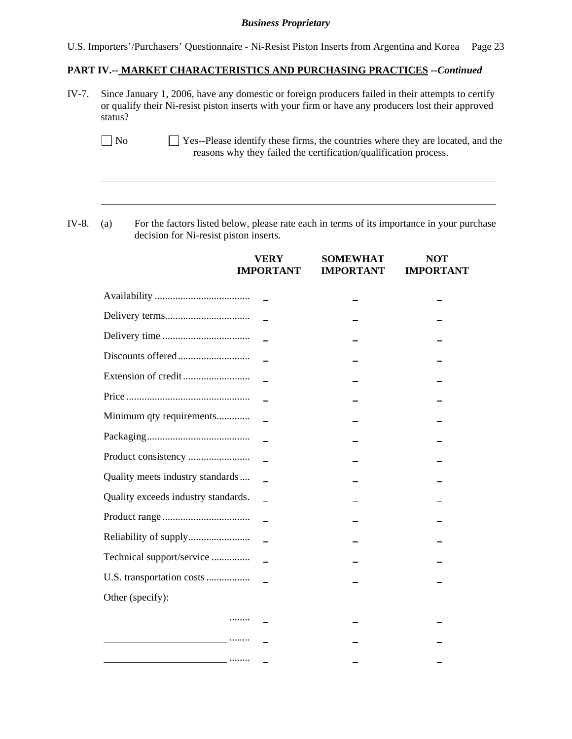U.S. Importers'/Purchasers' Questionnaire - Ni-Resist Piston Inserts from Argentina and Korea Page 23

#### **PART IV.-- MARKET CHARACTERISTICS AND PURCHASING PRACTICES** *--Continued*

IV-7. Since January 1, 2006, have any domestic or foreign producers failed in their attempts to certify or qualify their Ni-resist piston inserts with your firm or have any producers lost their approved status?

IV-8. (a) For the factors listed below, please rate each in terms of its importance in your purchase decision for Ni-resist piston inserts.

 $\overline{a}$ 

|                                                                                                                       | VERY<br><b>IMPORTANT</b> | <b>SOMEWHAT</b><br><b>IMPORTANT</b> | <b>NOT</b><br><b>IMPORTANT</b> |
|-----------------------------------------------------------------------------------------------------------------------|--------------------------|-------------------------------------|--------------------------------|
|                                                                                                                       |                          |                                     |                                |
|                                                                                                                       |                          |                                     |                                |
|                                                                                                                       |                          |                                     |                                |
|                                                                                                                       |                          |                                     |                                |
|                                                                                                                       |                          |                                     |                                |
|                                                                                                                       |                          |                                     |                                |
| Minimum qty requirements                                                                                              |                          |                                     |                                |
|                                                                                                                       |                          |                                     |                                |
|                                                                                                                       |                          |                                     |                                |
| Quality meets industry standards                                                                                      |                          |                                     |                                |
| Quality exceeds industry standards.                                                                                   |                          |                                     |                                |
|                                                                                                                       |                          |                                     |                                |
|                                                                                                                       |                          |                                     |                                |
| Technical support/service                                                                                             |                          |                                     |                                |
| U.S. transportation costs                                                                                             |                          |                                     |                                |
| Other (specify):                                                                                                      |                          |                                     |                                |
|                                                                                                                       |                          |                                     |                                |
| <u> 1980 - Jan Samuel Barbara, política estadounidense en la contrada de la contrada de la contrada de la contrad</u> |                          |                                     |                                |
| <u> 1989 - Johann Stoff, Amerikaansk politiker († 1908)</u>                                                           |                          |                                     |                                |

No Yes--Please identify these firms, the countries where they are located, and the reasons why they failed the certification/qualification process.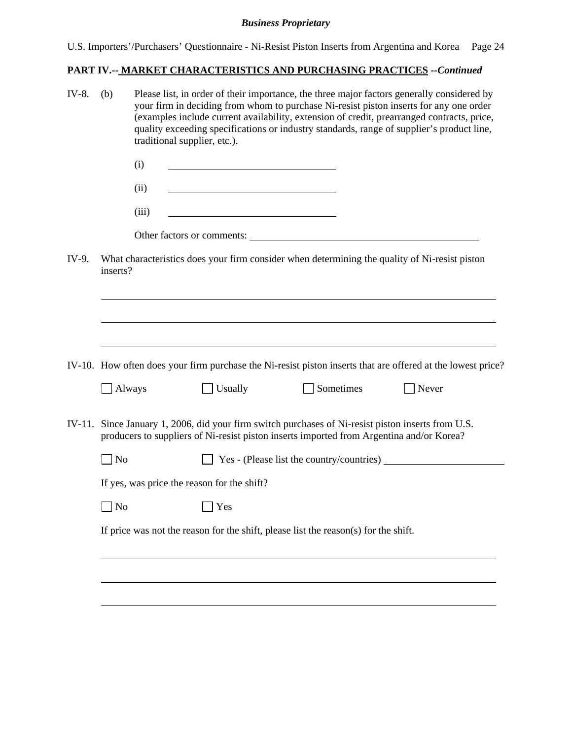| U.S. Importers'/Purchasers' Questionnaire - Ni-Resist Piston Inserts from Argentina and Korea Page 24 |  |
|-------------------------------------------------------------------------------------------------------|--|
|                                                                                                       |  |

# **PART IV.-- MARKET CHARACTERISTICS AND PURCHASING PRACTICES** *--Continued*

| IV-8. | Please list, in order of their importance, the three major factors generally considered by<br>(b)<br>your firm in deciding from whom to purchase Ni-resist piston inserts for any one order<br>(examples include current availability, extension of credit, prearranged contracts, price,<br>quality exceeding specifications or industry standards, range of supplier's product line,<br>traditional supplier, etc.). |                                                                                                                                                                                                                                      |                                                   |                                                                                                                                                                                                |                                                                                                             |
|-------|------------------------------------------------------------------------------------------------------------------------------------------------------------------------------------------------------------------------------------------------------------------------------------------------------------------------------------------------------------------------------------------------------------------------|--------------------------------------------------------------------------------------------------------------------------------------------------------------------------------------------------------------------------------------|---------------------------------------------------|------------------------------------------------------------------------------------------------------------------------------------------------------------------------------------------------|-------------------------------------------------------------------------------------------------------------|
|       |                                                                                                                                                                                                                                                                                                                                                                                                                        | (i)                                                                                                                                                                                                                                  |                                                   |                                                                                                                                                                                                |                                                                                                             |
|       |                                                                                                                                                                                                                                                                                                                                                                                                                        | (ii)                                                                                                                                                                                                                                 | <u> 1980 - Johann Barbara, martxa alemaniar a</u> |                                                                                                                                                                                                |                                                                                                             |
|       |                                                                                                                                                                                                                                                                                                                                                                                                                        | (iii)                                                                                                                                                                                                                                | <u> 1980 - Johann Barbara, martxa alemaniar a</u> |                                                                                                                                                                                                |                                                                                                             |
|       |                                                                                                                                                                                                                                                                                                                                                                                                                        |                                                                                                                                                                                                                                      |                                                   | Other factors or comments:                                                                                                                                                                     |                                                                                                             |
| IV-9. | inserts?                                                                                                                                                                                                                                                                                                                                                                                                               |                                                                                                                                                                                                                                      |                                                   | What characteristics does your firm consider when determining the quality of Ni-resist piston                                                                                                  |                                                                                                             |
|       |                                                                                                                                                                                                                                                                                                                                                                                                                        |                                                                                                                                                                                                                                      |                                                   |                                                                                                                                                                                                |                                                                                                             |
|       |                                                                                                                                                                                                                                                                                                                                                                                                                        |                                                                                                                                                                                                                                      |                                                   |                                                                                                                                                                                                | IV-10. How often does your firm purchase the Ni-resist piston inserts that are offered at the lowest price? |
|       | Always                                                                                                                                                                                                                                                                                                                                                                                                                 |                                                                                                                                                                                                                                      | Usually                                           | Sometimes                                                                                                                                                                                      | Never                                                                                                       |
|       |                                                                                                                                                                                                                                                                                                                                                                                                                        |                                                                                                                                                                                                                                      |                                                   | IV-11. Since January 1, 2006, did your firm switch purchases of Ni-resist piston inserts from U.S.<br>producers to suppliers of Ni-resist piston inserts imported from Argentina and/or Korea? |                                                                                                             |
|       | $\blacksquare$ No                                                                                                                                                                                                                                                                                                                                                                                                      |                                                                                                                                                                                                                                      |                                                   |                                                                                                                                                                                                | Yes - (Please list the country/countries)                                                                   |
|       | If yes, was price the reason for the shift?                                                                                                                                                                                                                                                                                                                                                                            |                                                                                                                                                                                                                                      |                                                   |                                                                                                                                                                                                |                                                                                                             |
|       | N <sub>o</sub>                                                                                                                                                                                                                                                                                                                                                                                                         | <u>the contract of the contract of the contract of the contract of the contract of the contract of the contract of the contract of the contract of the contract of the contract of the contract of the contract of the contract </u> | Yes                                               |                                                                                                                                                                                                |                                                                                                             |
|       |                                                                                                                                                                                                                                                                                                                                                                                                                        |                                                                                                                                                                                                                                      |                                                   | If price was not the reason for the shift, please list the reason(s) for the shift.                                                                                                            |                                                                                                             |
|       |                                                                                                                                                                                                                                                                                                                                                                                                                        |                                                                                                                                                                                                                                      |                                                   |                                                                                                                                                                                                |                                                                                                             |
|       |                                                                                                                                                                                                                                                                                                                                                                                                                        |                                                                                                                                                                                                                                      |                                                   |                                                                                                                                                                                                |                                                                                                             |